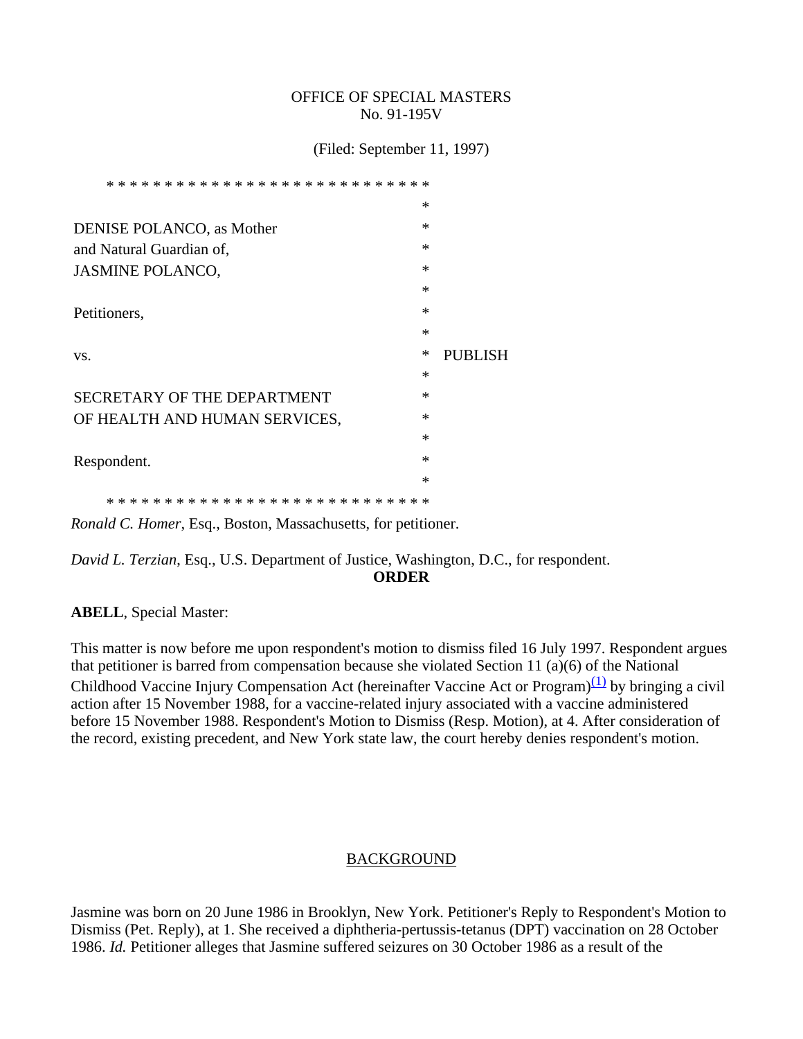#### OFFICE OF SPECIAL MASTERS No. 91-195V

(Filed: September 11, 1997)

| $\ast$<br>* * * * *                |        |                |
|------------------------------------|--------|----------------|
|                                    | $\ast$ |                |
| <b>DENISE POLANCO</b> , as Mother  | $\ast$ |                |
| and Natural Guardian of,           | $\ast$ |                |
| <b>JASMINE POLANCO,</b>            | $\ast$ |                |
|                                    | $\ast$ |                |
| Petitioners,                       | $\ast$ |                |
|                                    | $\ast$ |                |
|                                    |        |                |
| VS.                                | ∗      | <b>PUBLISH</b> |
|                                    | $\ast$ |                |
| <b>SECRETARY OF THE DEPARTMENT</b> | $\ast$ |                |
| OF HEALTH AND HUMAN SERVICES,      | $\ast$ |                |
|                                    | $\ast$ |                |
| Respondent.                        | $\ast$ |                |
|                                    | $\ast$ |                |

*Ronald C. Homer*, Esq., Boston, Massachusetts, for petitioner.

*David L. Terzian*, Esq., U.S. Department of Justice, Washington, D.C., for respondent. **ORDER**

**ABELL**, Special Master:

This matter is now before me upon respondent's motion to dismiss filed 16 July 1997. Respondent argues that petitioner is barred from compensation because she violated Section 11 (a)(6) of the National Childhood Vaccine Injury Compensation Act (hereinafter Vaccine Act or Program)<sup>(1)</sup> by bringing a civil action after 15 November 1988, for a vaccine-related injury associated with a vaccine administered before 15 November 1988. Respondent's Motion to Dismiss (Resp. Motion), at 4. After consideration of the record, existing precedent, and New York state law, the court hereby denies respondent's motion.

# BACKGROUND

Jasmine was born on 20 June 1986 in Brooklyn, New York. Petitioner's Reply to Respondent's Motion to Dismiss (Pet. Reply), at 1. She received a diphtheria-pertussis-tetanus (DPT) vaccination on 28 October 1986. *Id.* Petitioner alleges that Jasmine suffered seizures on 30 October 1986 as a result of the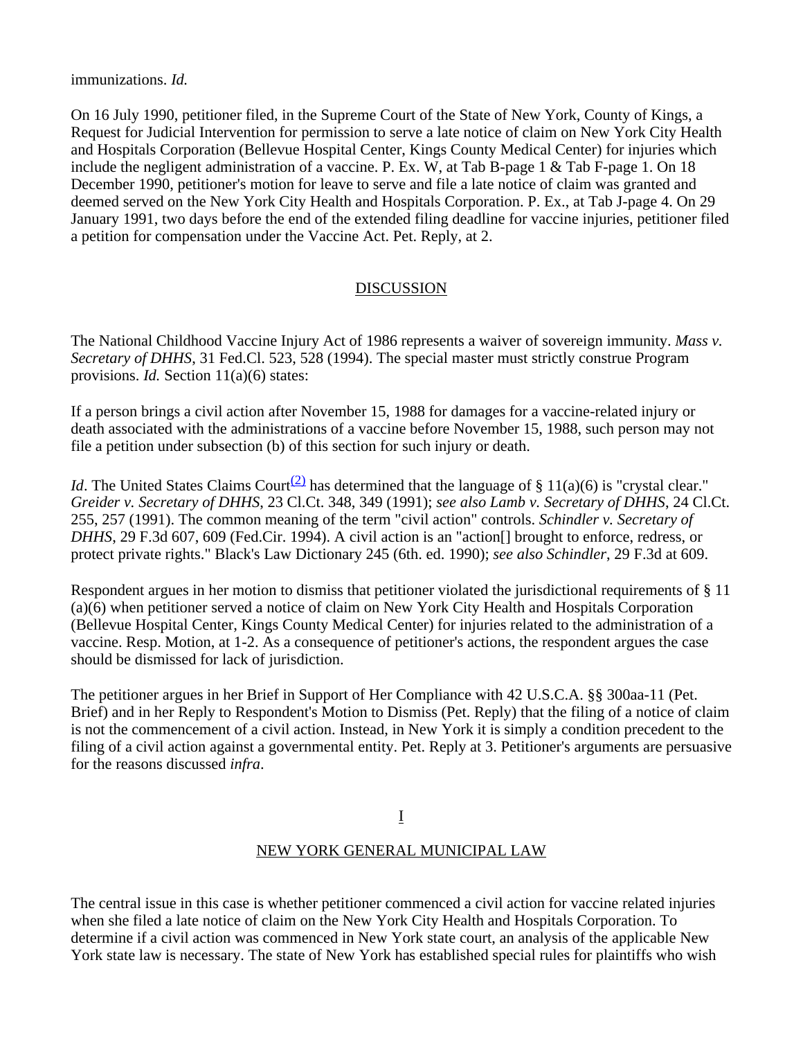immunizations. *Id.*

On 16 July 1990, petitioner filed, in the Supreme Court of the State of New York, County of Kings, a Request for Judicial Intervention for permission to serve a late notice of claim on New York City Health and Hospitals Corporation (Bellevue Hospital Center, Kings County Medical Center) for injuries which include the negligent administration of a vaccine. P. Ex. W, at Tab B-page 1 & Tab F-page 1. On 18 December 1990, petitioner's motion for leave to serve and file a late notice of claim was granted and deemed served on the New York City Health and Hospitals Corporation. P. Ex., at Tab J-page 4. On 29 January 1991, two days before the end of the extended filing deadline for vaccine injuries, petitioner filed a petition for compensation under the Vaccine Act. Pet. Reply, at 2.

# DISCUSSION

The National Childhood Vaccine Injury Act of 1986 represents a waiver of sovereign immunity. *Mass v. Secretary of DHHS*, 31 Fed.Cl. 523, 528 (1994). The special master must strictly construe Program provisions. *Id.* Section 11(a)(6) states:

If a person brings a civil action after November 15, 1988 for damages for a vaccine-related injury or death associated with the administrations of a vaccine before November 15, 1988, such person may not file a petition under subsection (b) of this section for such injury or death.

*Id*. The United States Claims Court<sup>(2)</sup> has determined that the language of § 11(a)(6) is "crystal clear." *Greider v. Secretary of DHHS*, 23 Cl.Ct. 348, 349 (1991); *see also Lamb v. Secretary of DHHS*, 24 Cl.Ct. 255, 257 (1991). The common meaning of the term "civil action" controls. *Schindler v. Secretary of DHHS*, 29 F.3d 607, 609 (Fed.Cir. 1994). A civil action is an "action net prought to enforce, redress, or protect private rights." Black's Law Dictionary 245 (6th. ed. 1990); *see also Schindler*, 29 F.3d at 609.

Respondent argues in her motion to dismiss that petitioner violated the jurisdictional requirements of § 11 (a)(6) when petitioner served a notice of claim on New York City Health and Hospitals Corporation (Bellevue Hospital Center, Kings County Medical Center) for injuries related to the administration of a vaccine. Resp. Motion, at 1-2. As a consequence of petitioner's actions, the respondent argues the case should be dismissed for lack of jurisdiction.

The petitioner argues in her Brief in Support of Her Compliance with 42 U.S.C.A. §§ 300aa-11 (Pet. Brief) and in her Reply to Respondent's Motion to Dismiss (Pet. Reply) that the filing of a notice of claim is not the commencement of a civil action. Instead, in New York it is simply a condition precedent to the filing of a civil action against a governmental entity. Pet. Reply at 3. Petitioner's arguments are persuasive for the reasons discussed *infra*.

### I

### NEW YORK GENERAL MUNICIPAL LAW

The central issue in this case is whether petitioner commenced a civil action for vaccine related injuries when she filed a late notice of claim on the New York City Health and Hospitals Corporation. To determine if a civil action was commenced in New York state court, an analysis of the applicable New York state law is necessary. The state of New York has established special rules for plaintiffs who wish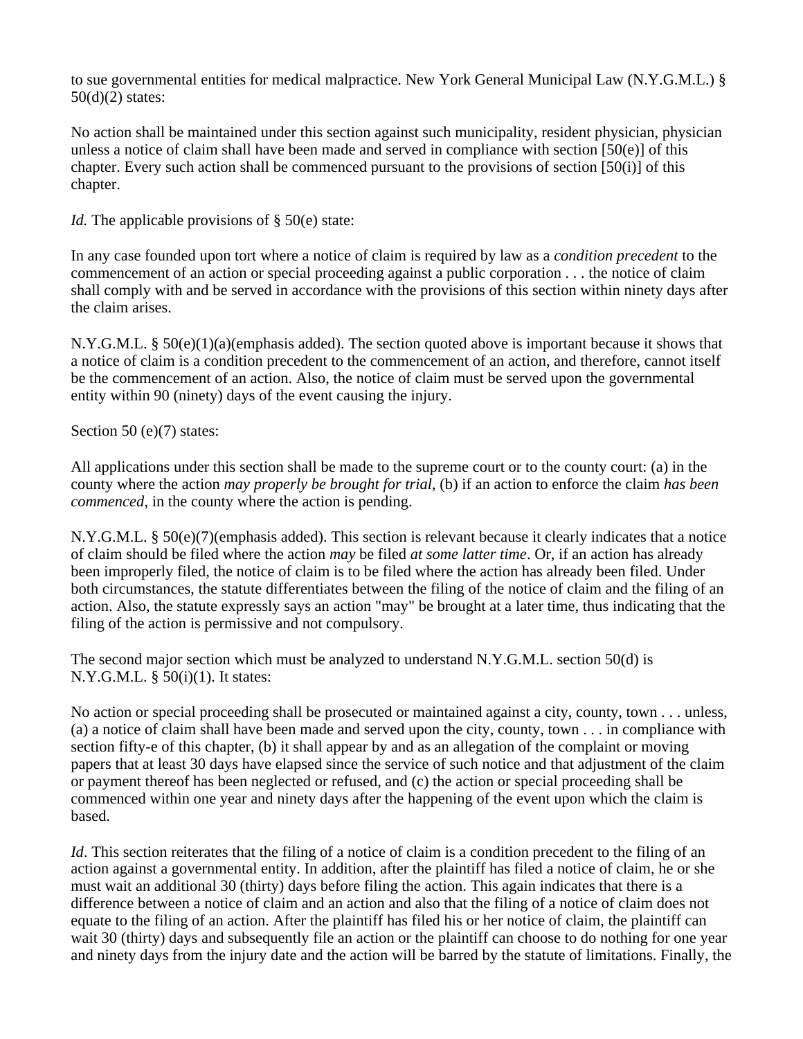to sue governmental entities for medical malpractice. New York General Municipal Law (N.Y.G.M.L.) §  $50(d)(2)$  states:

No action shall be maintained under this section against such municipality, resident physician, physician unless a notice of claim shall have been made and served in compliance with section  $[50(e)]$  of this chapter. Every such action shall be commenced pursuant to the provisions of section [50(i)] of this chapter.

*Id.* The applicable provisions of § 50(e) state:

In any case founded upon tort where a notice of claim is required by law as a *condition precedent* to the commencement of an action or special proceeding against a public corporation . . . the notice of claim shall comply with and be served in accordance with the provisions of this section within ninety days after the claim arises.

N.Y.G.M.L. § 50(e)(1)(a)(emphasis added). The section quoted above is important because it shows that a notice of claim is a condition precedent to the commencement of an action, and therefore, cannot itself be the commencement of an action. Also, the notice of claim must be served upon the governmental entity within 90 (ninety) days of the event causing the injury.

Section 50 (e)(7) states:

All applications under this section shall be made to the supreme court or to the county court: (a) in the county where the action *may properly be brought for trial*, (b) if an action to enforce the claim *has been commenced*, in the county where the action is pending.

N.Y.G.M.L. § 50(e)(7)(emphasis added). This section is relevant because it clearly indicates that a notice of claim should be filed where the action *may* be filed *at some latter time*. Or, if an action has already been improperly filed, the notice of claim is to be filed where the action has already been filed. Under both circumstances, the statute differentiates between the filing of the notice of claim and the filing of an action. Also, the statute expressly says an action "may" be brought at a later time, thus indicating that the filing of the action is permissive and not compulsory.

The second major section which must be analyzed to understand N.Y.G.M.L. section 50(d) is N.Y.G.M.L. § 50(i)(1). It states:

No action or special proceeding shall be prosecuted or maintained against a city, county, town . . . unless, (a) a notice of claim shall have been made and served upon the city, county, town . . . in compliance with section fifty-e of this chapter, (b) it shall appear by and as an allegation of the complaint or moving papers that at least 30 days have elapsed since the service of such notice and that adjustment of the claim or payment thereof has been neglected or refused, and (c) the action or special proceeding shall be commenced within one year and ninety days after the happening of the event upon which the claim is based.

*Id*. This section reiterates that the filing of a notice of claim is a condition precedent to the filing of an action against a governmental entity. In addition, after the plaintiff has filed a notice of claim, he or she must wait an additional 30 (thirty) days before filing the action. This again indicates that there is a difference between a notice of claim and an action and also that the filing of a notice of claim does not equate to the filing of an action. After the plaintiff has filed his or her notice of claim, the plaintiff can wait 30 (thirty) days and subsequently file an action or the plaintiff can choose to do nothing for one year and ninety days from the injury date and the action will be barred by the statute of limitations. Finally, the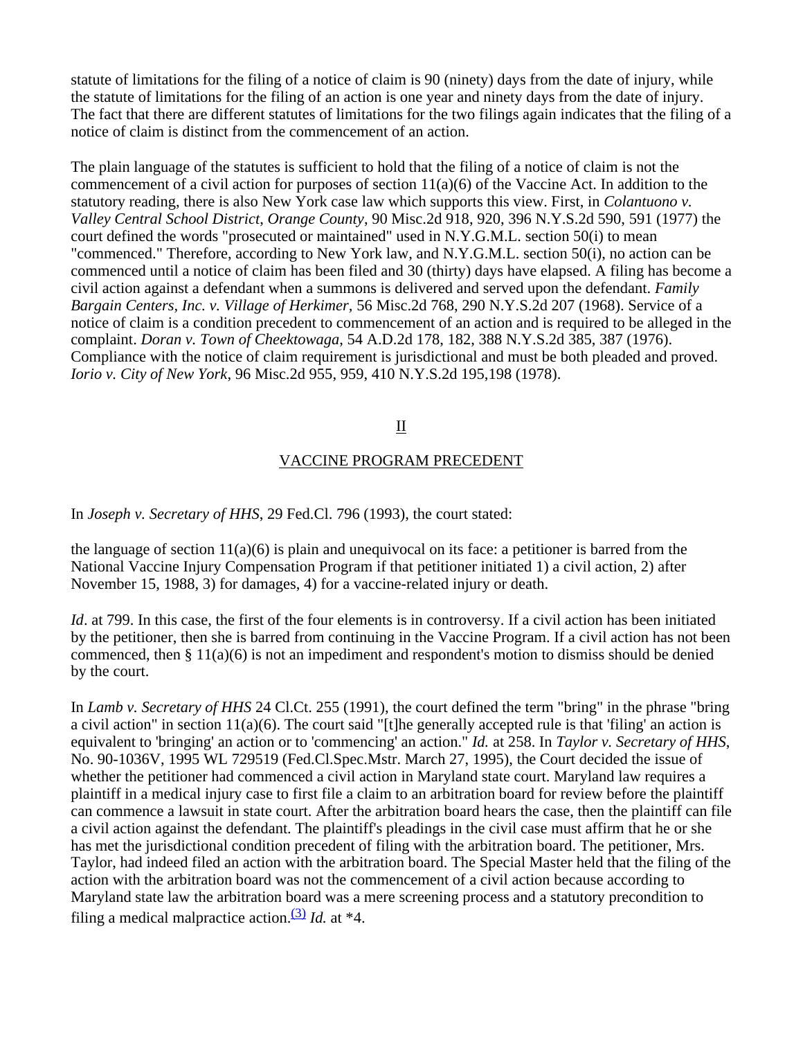statute of limitations for the filing of a notice of claim is 90 (ninety) days from the date of injury, while the statute of limitations for the filing of an action is one year and ninety days from the date of injury. The fact that there are different statutes of limitations for the two filings again indicates that the filing of a notice of claim is distinct from the commencement of an action.

The plain language of the statutes is sufficient to hold that the filing of a notice of claim is not the commencement of a civil action for purposes of section  $11(a)(6)$  of the Vaccine Act. In addition to the statutory reading, there is also New York case law which supports this view. First, in *Colantuono v. Valley Central School District*, *Orange County*, 90 Misc.2d 918, 920, 396 N.Y.S.2d 590, 591 (1977) the court defined the words "prosecuted or maintained" used in N.Y.G.M.L. section 50(i) to mean "commenced." Therefore, according to New York law, and N.Y.G.M.L. section 50(i), no action can be commenced until a notice of claim has been filed and 30 (thirty) days have elapsed. A filing has become a civil action against a defendant when a summons is delivered and served upon the defendant. *Family Bargain Centers, Inc. v. Village of Herkimer,* 56 Misc.2d 768, 290 N.Y.S.2d 207 (1968). Service of a notice of claim is a condition precedent to commencement of an action and is required to be alleged in the complaint. *Doran v. Town of Cheektowaga*, 54 A.D.2d 178, 182, 388 N.Y.S.2d 385, 387 (1976). Compliance with the notice of claim requirement is jurisdictional and must be both pleaded and proved. *Iorio v. City of New York*, 96 Misc.2d 955, 959, 410 N.Y.S.2d 195,198 (1978).

### II

#### VACCINE PROGRAM PRECEDENT

In *Joseph v. Secretary of HHS*, 29 Fed.Cl. 796 (1993), the court stated:

the language of section  $11(a)(6)$  is plain and unequivocal on its face: a petitioner is barred from the National Vaccine Injury Compensation Program if that petitioner initiated 1) a civil action, 2) after November 15, 1988, 3) for damages, 4) for a vaccine-related injury or death.

*Id.* at 799. In this case, the first of the four elements is in controversy. If a civil action has been initiated by the petitioner, then she is barred from continuing in the Vaccine Program. If a civil action has not been commenced, then § 11(a)(6) is not an impediment and respondent's motion to dismiss should be denied by the court.

In *Lamb v. Secretary of HHS* 24 Cl.Ct. 255 (1991), the court defined the term "bring" in the phrase "bring a civil action" in section 11(a)(6). The court said "[t]he generally accepted rule is that 'filing' an action is equivalent to 'bringing' an action or to 'commencing' an action." *Id.* at 258. In *Taylor v. Secretary of HHS*, No. 90-1036V, 1995 WL 729519 (Fed.Cl.Spec.Mstr. March 27, 1995), the Court decided the issue of whether the petitioner had commenced a civil action in Maryland state court. Maryland law requires a plaintiff in a medical injury case to first file a claim to an arbitration board for review before the plaintiff can commence a lawsuit in state court. After the arbitration board hears the case, then the plaintiff can file a civil action against the defendant. The plaintiff's pleadings in the civil case must affirm that he or she has met the jurisdictional condition precedent of filing with the arbitration board. The petitioner, Mrs. Taylor, had indeed filed an action with the arbitration board. The Special Master held that the filing of the action with the arbitration board was not the commencement of a civil action because according to Maryland state law the arbitration board was a mere screening process and a statutory precondition to filing a medical malpractice action.<sup>(3)</sup> *Id.* at  $*4$ .